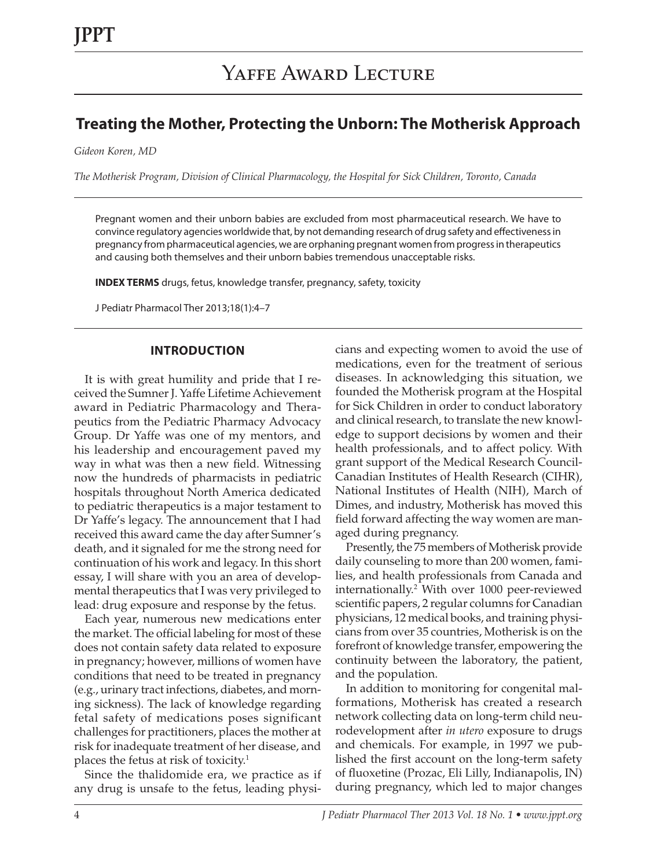# **Treating the Mother, Protecting the Unborn: The Motherisk Approach**

*Gideon Koren, MD*

*The Motherisk Program, Division of Clinical Pharmacology, the Hospital for Sick Children, Toronto, Canada*

Pregnant women and their unborn babies are excluded from most pharmaceutical research. We have to convince regulatory agencies worldwide that, by not demanding research of drug safety and effectiveness in pregnancy from pharmaceutical agencies, we are orphaning pregnant women from progress in therapeutics and causing both themselves and their unborn babies tremendous unacceptable risks.

**INDEX TERMS** drugs, fetus, knowledge transfer, pregnancy, safety, toxicity

J Pediatr Pharmacol Ther 2013;18(1):4–7

#### **INTRODUCTION**

It is with great humility and pride that I received the Sumner J. Yaffe Lifetime Achievement award in Pediatric Pharmacology and Therapeutics from the Pediatric Pharmacy Advocacy Group. Dr Yaffe was one of my mentors, and his leadership and encouragement paved my way in what was then a new field. Witnessing now the hundreds of pharmacists in pediatric hospitals throughout North America dedicated to pediatric therapeutics is a major testament to Dr Yaffe's legacy. The announcement that I had received this award came the day after Sumner's death, and it signaled for me the strong need for continuation of his work and legacy. In this short essay, I will share with you an area of developmental therapeutics that I was very privileged to lead: drug exposure and response by the fetus.

Each year, numerous new medications enter the market. The official labeling for most of these does not contain safety data related to exposure in pregnancy; however, millions of women have conditions that need to be treated in pregnancy (e.g., urinary tract infections, diabetes, and morning sickness). The lack of knowledge regarding fetal safety of medications poses significant challenges for practitioners, places the mother at risk for inadequate treatment of her disease, and places the fetus at risk of toxicity.<sup>1</sup>

Since the thalidomide era, we practice as if any drug is unsafe to the fetus, leading physicians and expecting women to avoid the use of medications, even for the treatment of serious diseases. In acknowledging this situation, we founded the Motherisk program at the Hospital for Sick Children in order to conduct laboratory and clinical research, to translate the new knowledge to support decisions by women and their health professionals, and to affect policy. With grant support of the Medical Research Council-Canadian Institutes of Health Research (CIHR), National Institutes of Health (NIH), March of Dimes, and industry, Motherisk has moved this field forward affecting the way women are managed during pregnancy.

Presently, the 75 members of Motherisk provide daily counseling to more than 200 women, families, and health professionals from Canada and internationally.2 With over 1000 peer-reviewed scientific papers, 2 regular columns for Canadian physicians, 12 medical books, and training physicians from over 35 countries, Motherisk is on the forefront of knowledge transfer, empowering the continuity between the laboratory, the patient, and the population.

In addition to monitoring for congenital malformations, Motherisk has created a research network collecting data on long-term child neurodevelopment after *in utero* exposure to drugs and chemicals. For example, in 1997 we published the first account on the long-term safety of fluoxetine (Prozac, Eli Lilly, Indianapolis, IN) during pregnancy, which led to major changes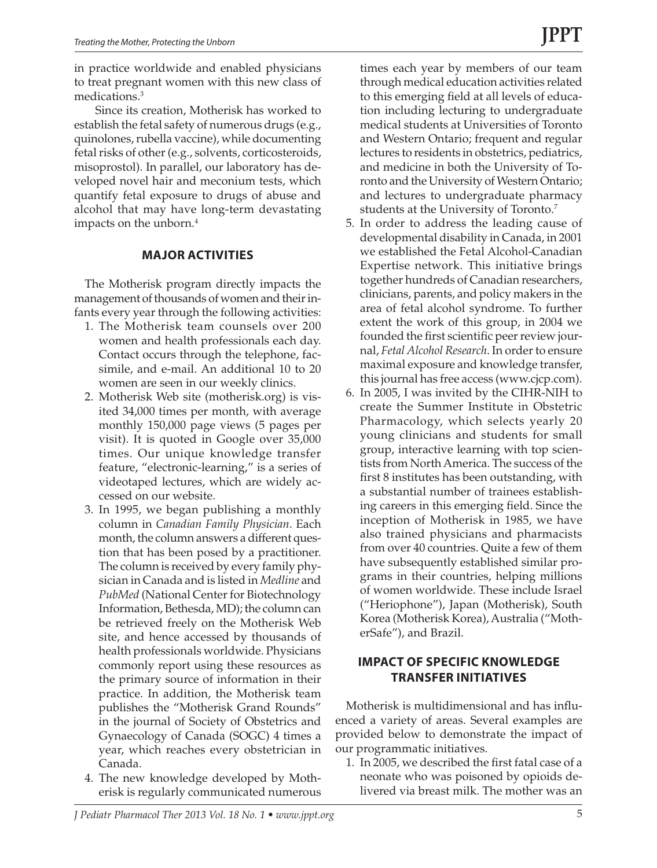in practice worldwide and enabled physicians to treat pregnant women with this new class of medications.3

Since its creation, Motherisk has worked to establish the fetal safety of numerous drugs (e.g., quinolones, rubella vaccine), while documenting fetal risks of other (e.g., solvents, corticosteroids, misoprostol). In parallel, our laboratory has developed novel hair and meconium tests, which quantify fetal exposure to drugs of abuse and alcohol that may have long-term devastating impacts on the unborn.4

## **MAJOR ACTIVITIES**

The Motherisk program directly impacts the management of thousands of women and their infants every year through the following activities:

- 1. The Motherisk team counsels over 200 women and health professionals each day. Contact occurs through the telephone, facsimile, and e-mail. An additional 10 to 20 women are seen in our weekly clinics.
- 2. Motherisk Web site (motherisk.org) is visited 34,000 times per month, with average monthly 150,000 page views (5 pages per visit). It is quoted in Google over 35,000 times. Our unique knowledge transfer feature, "electronic-learning," is a series of videotaped lectures, which are widely accessed on our website.
- 3. In 1995, we began publishing a monthly column in *Canadian Family Physician*. Each month, the column answers a different question that has been posed by a practitioner. The column is received by every family physician in Canada and is listed in *Medline* and *PubMed* (National Center for Biotechnology Information, Bethesda, MD); the column can be retrieved freely on the Motherisk Web site, and hence accessed by thousands of health professionals worldwide. Physicians commonly report using these resources as the primary source of information in their practice. In addition, the Motherisk team publishes the "Motherisk Grand Rounds" in the journal of Society of Obstetrics and Gynaecology of Canada (SOGC) 4 times a year, which reaches every obstetrician in Canada.
- 4. The new knowledge developed by Motherisk is regularly communicated numerous

times each year by members of our team through medical education activities related to this emerging field at all levels of education including lecturing to undergraduate medical students at Universities of Toronto and Western Ontario; frequent and regular lectures to residents in obstetrics, pediatrics, and medicine in both the University of Toronto and the University of Western Ontario; and lectures to undergraduate pharmacy students at the University of Toronto.7

- 5. In order to address the leading cause of developmental disability in Canada, in 2001 we established the Fetal Alcohol-Canadian Expertise network. This initiative brings together hundreds of Canadian researchers, clinicians, parents, and policy makers in the area of fetal alcohol syndrome. To further extent the work of this group, in 2004 we founded the first scientific peer review journal, *Fetal Alcohol Research*. In order to ensure maximal exposure and knowledge transfer, this journal has free access (www.cjcp.com).
- 6. In 2005, I was invited by the CIHR-NIH to create the Summer Institute in Obstetric Pharmacology, which selects yearly 20 young clinicians and students for small group, interactive learning with top scientists from North America. The success of the first 8 institutes has been outstanding, with a substantial number of trainees establishing careers in this emerging field. Since the inception of Motherisk in 1985, we have also trained physicians and pharmacists from over 40 countries. Quite a few of them have subsequently established similar programs in their countries, helping millions of women worldwide. These include Israel ("Heriophone"), Japan (Motherisk), South Korea (Motherisk Korea), Australia ("MotherSafe"), and Brazil.

# **IMPACT OF SPECIFIC KNOWLEDGE TRANSFER INITIATIVES**

Motherisk is multidimensional and has influenced a variety of areas. Several examples are provided below to demonstrate the impact of our programmatic initiatives.

1. In 2005, we described the first fatal case of a neonate who was poisoned by opioids delivered via breast milk. The mother was an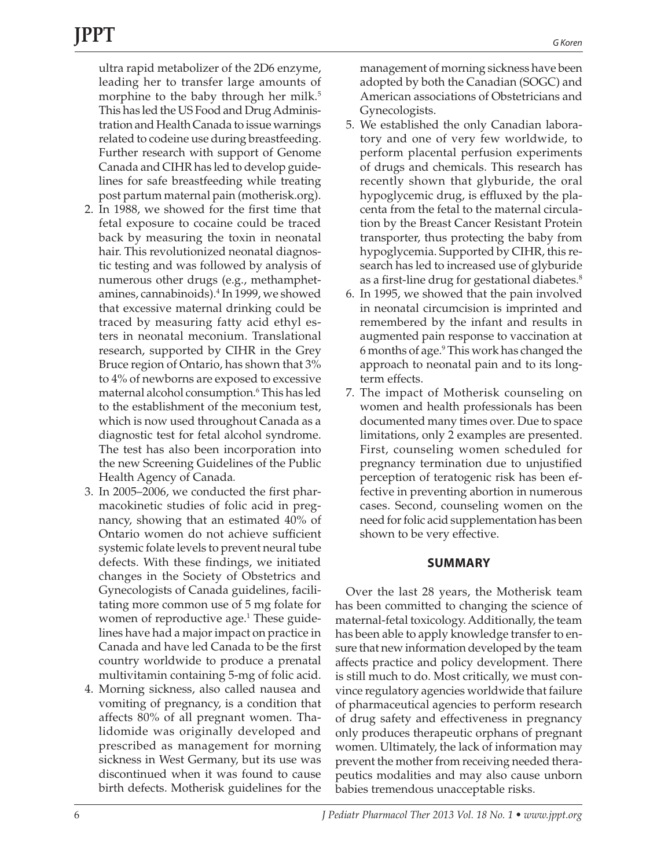ultra rapid metabolizer of the 2D6 enzyme, leading her to transfer large amounts of morphine to the baby through her milk.<sup>5</sup> This has led the US Food and Drug Administration and Health Canada to issue warnings related to codeine use during breastfeeding. Further research with support of Genome Canada and CIHR has led to develop guidelines for safe breastfeeding while treating post partum maternal pain (motherisk.org).

- 2. In 1988, we showed for the first time that fetal exposure to cocaine could be traced back by measuring the toxin in neonatal hair. This revolutionized neonatal diagnostic testing and was followed by analysis of numerous other drugs (e.g., methamphetamines, cannabinoids).4 In 1999, we showed that excessive maternal drinking could be traced by measuring fatty acid ethyl esters in neonatal meconium. Translational research, supported by CIHR in the Grey Bruce region of Ontario, has shown that 3% to 4% of newborns are exposed to excessive maternal alcohol consumption.6 This has led to the establishment of the meconium test, which is now used throughout Canada as a diagnostic test for fetal alcohol syndrome. The test has also been incorporation into the new Screening Guidelines of the Public Health Agency of Canada*.*
- 3. In 2005–2006, we conducted the first pharmacokinetic studies of folic acid in pregnancy, showing that an estimated 40% of Ontario women do not achieve sufficient systemic folate levels to prevent neural tube defects. With these findings, we initiated changes in the Society of Obstetrics and Gynecologists of Canada guidelines, facilitating more common use of 5 mg folate for women of reproductive age.<sup>1</sup> These guidelines have had a major impact on practice in Canada and have led Canada to be the first country worldwide to produce a prenatal multivitamin containing 5-mg of folic acid.
- 4. Morning sickness, also called nausea and vomiting of pregnancy, is a condition that affects 80% of all pregnant women. Thalidomide was originally developed and prescribed as management for morning sickness in West Germany, but its use was discontinued when it was found to cause birth defects. Motherisk guidelines for the

management of morning sickness have been adopted by both the Canadian (SOGC) and American associations of Obstetricians and Gynecologists.

- 5. We established the only Canadian laboratory and one of very few worldwide, to perform placental perfusion experiments of drugs and chemicals. This research has recently shown that glyburide, the oral hypoglycemic drug, is effluxed by the placenta from the fetal to the maternal circulation by the Breast Cancer Resistant Protein transporter, thus protecting the baby from hypoglycemia. Supported by CIHR, this research has led to increased use of glyburide as a first-line drug for gestational diabetes.<sup>8</sup>
- 6. In 1995, we showed that the pain involved in neonatal circumcision is imprinted and remembered by the infant and results in augmented pain response to vaccination at 6 months of age.9 This work has changed the approach to neonatal pain and to its longterm effects.
- 7. The impact of Motherisk counseling on women and health professionals has been documented many times over. Due to space limitations, only 2 examples are presented. First, counseling women scheduled for pregnancy termination due to unjustified perception of teratogenic risk has been effective in preventing abortion in numerous cases. Second, counseling women on the need for folic acid supplementation has been shown to be very effective.

### **SUMMARY**

Over the last 28 years, the Motherisk team has been committed to changing the science of maternal-fetal toxicology. Additionally, the team has been able to apply knowledge transfer to ensure that new information developed by the team affects practice and policy development. There is still much to do. Most critically, we must convince regulatory agencies worldwide that failure of pharmaceutical agencies to perform research of drug safety and effectiveness in pregnancy only produces therapeutic orphans of pregnant women. Ultimately, the lack of information may prevent the mother from receiving needed therapeutics modalities and may also cause unborn babies tremendous unacceptable risks.